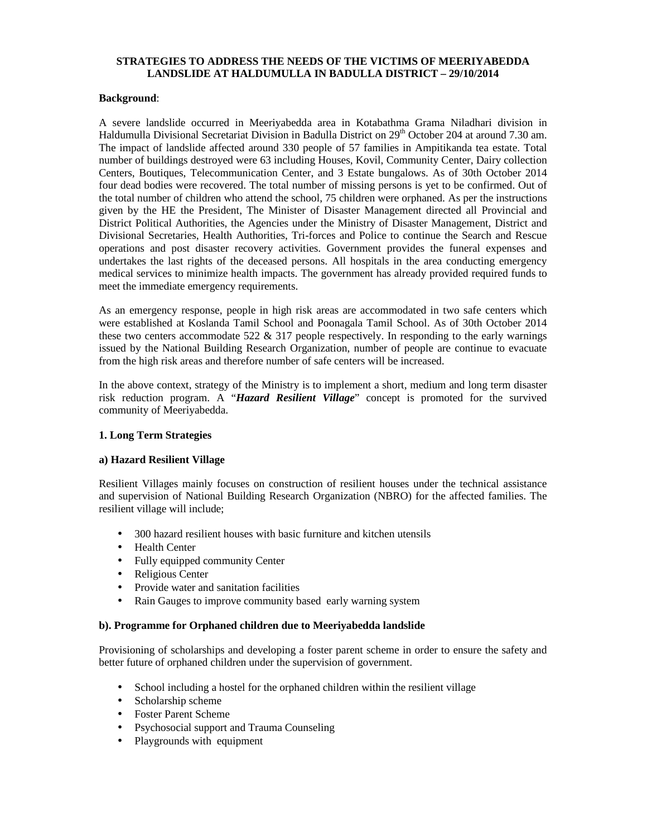## **STRATEGIES TO ADDRESS THE NEEDS OF THE VICTIMS OF MEERIYABEDDA LANDSLIDE AT HALDUMULLA IN BADULLA DISTRICT – 29/10/2014**

### **Background**:

A severe landslide occurred in Meeriyabedda area in Kotabathma Grama Niladhari division in Haldumulla Divisional Secretariat Division in Badulla District on  $29<sup>th</sup>$  October 204 at around 7.30 am. The impact of landslide affected around 330 people of 57 families in Ampitikanda tea estate. Total number of buildings destroyed were 63 including Houses, Kovil, Community Center, Dairy collection Centers, Boutiques, Telecommunication Center, and 3 Estate bungalows. As of 30th October 2014 four dead bodies were recovered. The total number of missing persons is yet to be confirmed. Out of the total number of children who attend the school, 75 children were orphaned. As per the instructions given by the HE the President, The Minister of Disaster Management directed all Provincial and District Political Authorities, the Agencies under the Ministry of Disaster Management, District and Divisional Secretaries, Health Authorities, Tri-forces and Police to continue the Search and Rescue operations and post disaster recovery activities. Government provides the funeral expenses and undertakes the last rights of the deceased persons. All hospitals in the area conducting emergency medical services to minimize health impacts. The government has already provided required funds to meet the immediate emergency requirements.

As an emergency response, people in high risk areas are accommodated in two safe centers which were established at Koslanda Tamil School and Poonagala Tamil School. As of 30th October 2014 these two centers accommodate  $522 \& 317$  people respectively. In responding to the early warnings issued by the National Building Research Organization, number of people are continue to evacuate from the high risk areas and therefore number of safe centers will be increased.

In the above context, strategy of the Ministry is to implement a short, medium and long term disaster risk reduction program. A "*Hazard Resilient Village*" concept is promoted for the survived community of Meeriyabedda.

## **1. Long Term Strategies**

## **a) Hazard Resilient Village**

Resilient Villages mainly focuses on construction of resilient houses under the technical assistance and supervision of National Building Research Organization (NBRO) for the affected families. The resilient village will include;

- 300 hazard resilient houses with basic furniture and kitchen utensils
- Health Center
- Fully equipped community Center
- Religious Center
- Provide water and sanitation facilities
- Rain Gauges to improve community based early warning system

#### **b). Programme for Orphaned children due to Meeriyabedda landslide**

Provisioning of scholarships and developing a foster parent scheme in order to ensure the safety and better future of orphaned children under the supervision of government.

- School including a hostel for the orphaned children within the resilient village
- Scholarship scheme
- Foster Parent Scheme
- Psychosocial support and Trauma Counseling
- Playgrounds with equipment